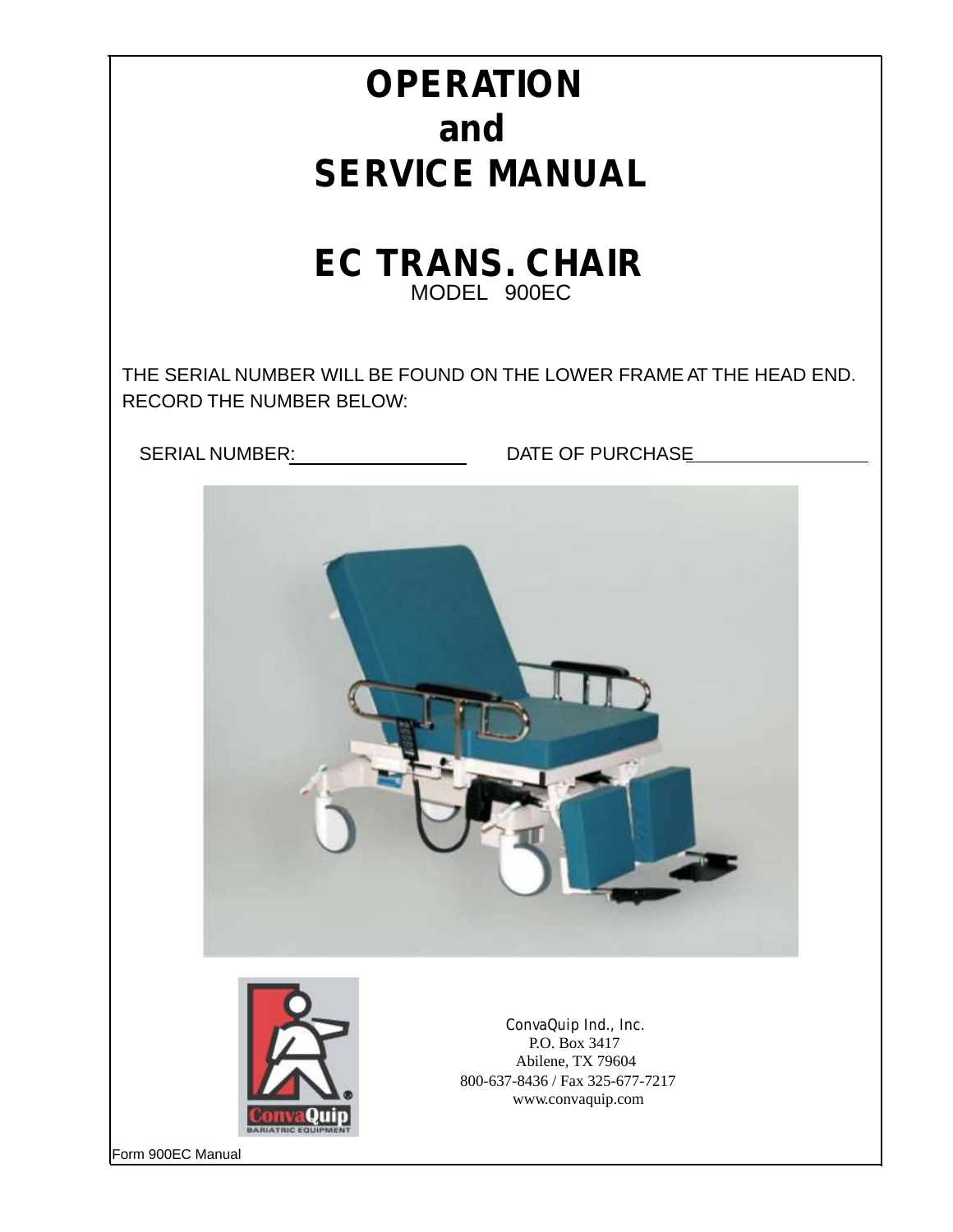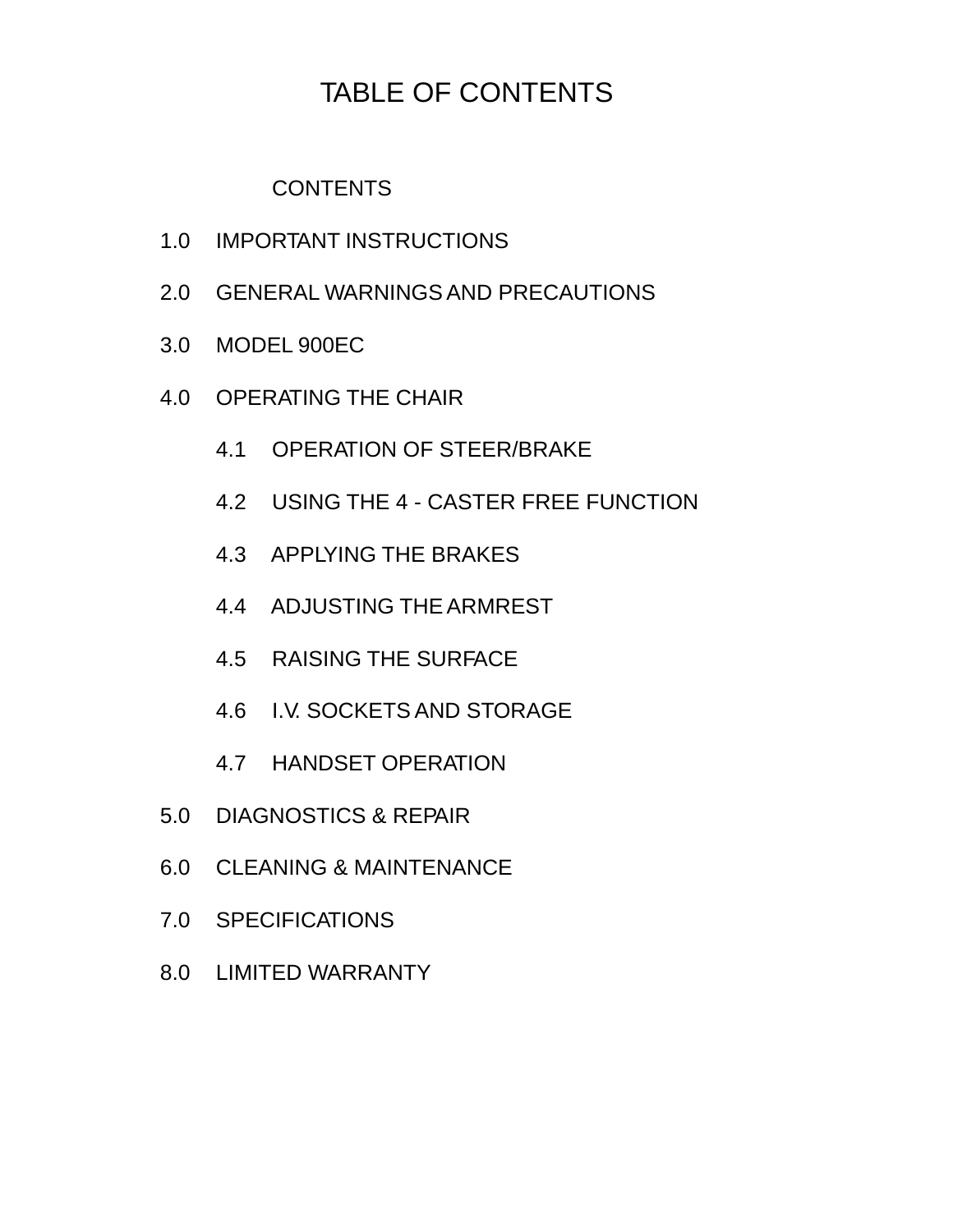## TABLE OF CONTENTS

**CONTENTS** 

- 1.0 IMPORTANT INSTRUCTIONS
- 2.0 GENERAL WARNINGS AND PRECAUTIONS
- 3.0 MODEL 900EC
- 4.0 OPERATING THE CHAIR
	- 4.1 OPERATION OF STEER/BRAKE
	- 4.2 USING THE 4 CASTER FREE FUNCTION
	- 4.3 APPLYING THE BRAKES
	- 4.4 ADJUSTING THE ARMREST
	- 4.5 RAISING THE SURFACE
	- 4.6 I.V. SOCKETS AND STORAGE
	- 4.7 HANDSET OPERATION
- 5.0 DIAGNOSTICS & REPAIR
- 6.0 CLEANING & MAINTENANCE
- 7.0 SPECIFICATIONS
- 8.0 LIMITED WARRANTY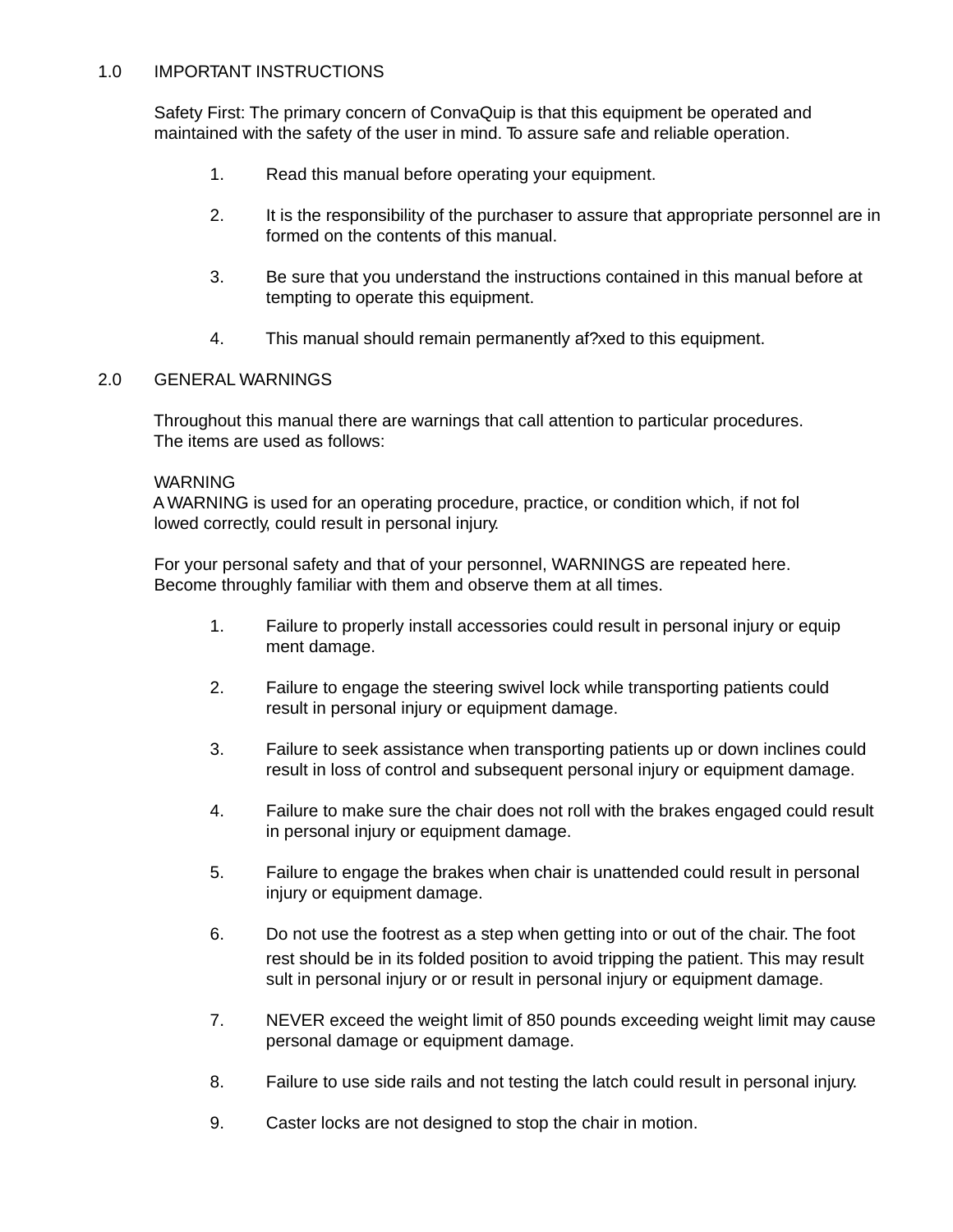#### 1.0 IMPORTANT INSTRUCTIONS

Safety First: The primary concern of ConvaQuip is that this equipment be operated and maintained with the safety of the user in mind. To assure safe and reliable operation.

- 1. Read this manual before operating your equipment.
- 2. It is the responsibility of the purchaser to assure that appropriate personnel are in formed on the contents of this manual.
- 3. Be sure that you understand the instructions contained in this manual before at tempting to operate this equipment.
- 4. This manual should remain permanently af?xed to this equipment.

#### 2.0 GENERAL WARNINGS

Throughout this manual there are warnings that call attention to particular procedures. The items are used as follows:

#### WARNING

A WARNING is used for an operating procedure, practice, or condition which, if not fol lowed correctly, could result in personal injury.

For your personal safety and that of your personnel, WARNINGS are repeated here. Become throughly familiar with them and observe them at all times.

- 1. Failure to properly install accessories could result in personal injury or equip ment damage.
- 2. Failure to engage the steering swivel lock while transporting patients could result in personal injury or equipment damage.
- 3. Failure to seek assistance when transporting patients up or down inclines could result in loss of control and subsequent personal injury or equipment damage.
- 4. Failure to make sure the chair does not roll with the brakes engaged could result in personal injury or equipment damage.
- 5. Failure to engage the brakes when chair is unattended could result in personal injury or equipment damage.
- 6. Do not use the footrest as a step when getting into or out of the chair. The foot rest should be in its folded position to avoid tripping the patient. This may result sult in personal injury or or result in personal injury or equipment damage.
- 7. NEVER exceed the weight limit of 850 pounds exceeding weight limit may cause personal damage or equipment damage.
- 8. Failure to use side rails and not testing the latch could result in personal injury.
- 9. Caster locks are not designed to stop the chair in motion.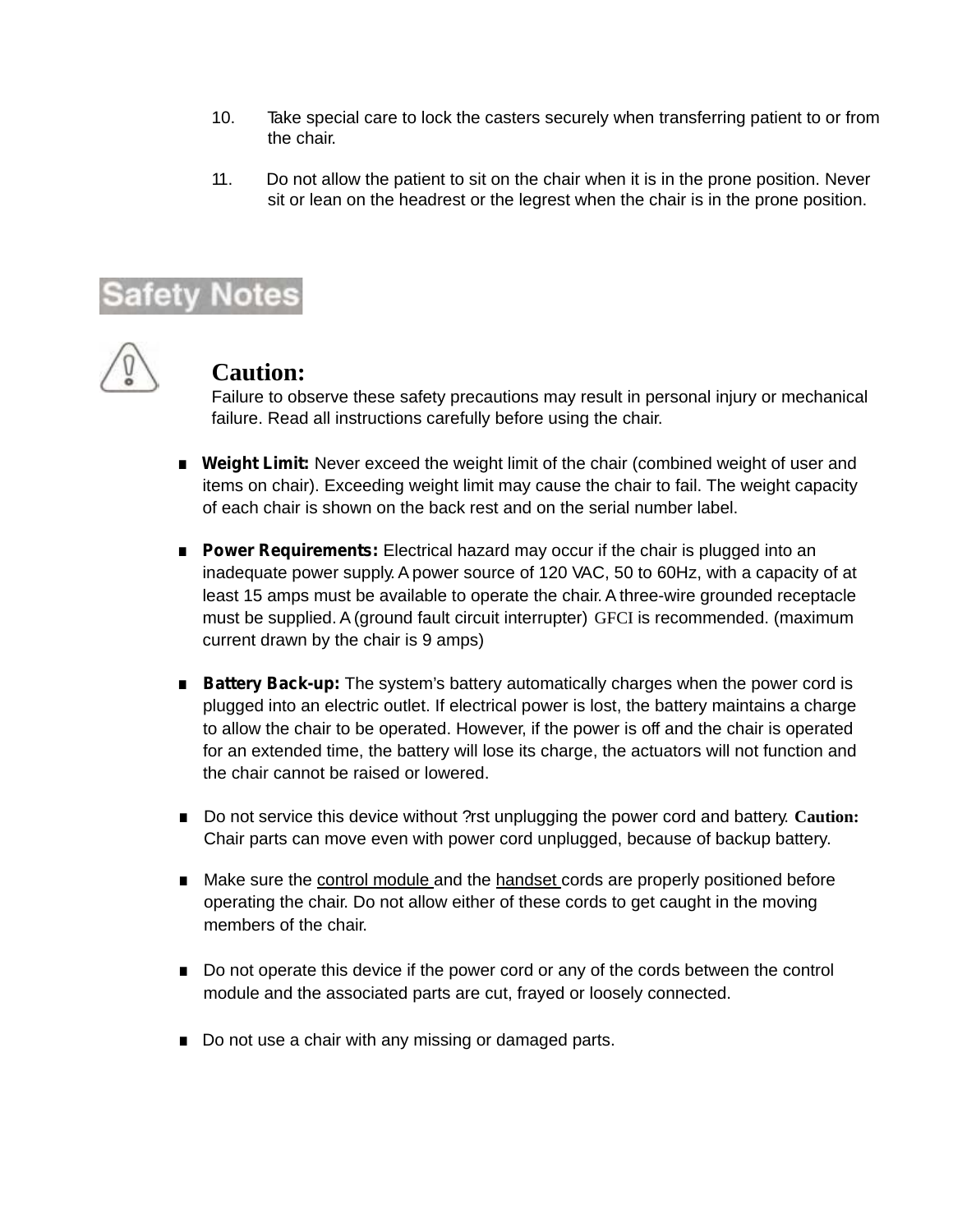- 10. Take special care to lock the casters securely when transferring patient to or from the chair.
- 11. Do not allow the patient to sit on the chair when it is in the prone position. Never sit or lean on the headrest or the legrest when the chair is in the prone position.

# Safety Notes

### **Caution:**

Failure to observe these safety precautions may result in personal injury or mechanical failure. Read all instructions carefully before using the chair.

- **. Weight Limit:** Never exceed the weight limit of the chair (combined weight of user and items on chair). Exceeding weight limit may cause the chair to fail. The weight capacity of each chair is shown on the back rest and on the serial number label.
- **Power Requirements:** Electrical hazard may occur if the chair is plugged into an inadequate power supply. A power source of 120 VAC, 50 to 60Hz, with a capacity of at least 15 amps must be available to operate the chair. A three-wire grounded receptacle must be supplied. A (ground fault circuit interrupter) GFCI is recommended. (maximum current drawn by the chair is 9 amps)
- **Battery Back-up:** The system's battery automatically charges when the power cord is plugged into an electric outlet. If electrical power is lost, the battery maintains a charge to allow the chair to be operated. However, if the power is off and the chair is operated for an extended time, the battery will lose its charge, the actuators will not function and the chair cannot be raised or lowered.
- **.** Do not service this device without ?rst unplugging the power cord and battery. **Caution:**  Chair parts can move even with power cord unplugged, because of backup battery.
- **.** Make sure the control module and the handset cords are properly positioned before operating the chair. Do not allow either of these cords to get caught in the moving members of the chair.
- **.** Do not operate this device if the power cord or any of the cords between the control module and the associated parts are cut, frayed or loosely connected.
- **.** Do not use a chair with any missing or damaged parts.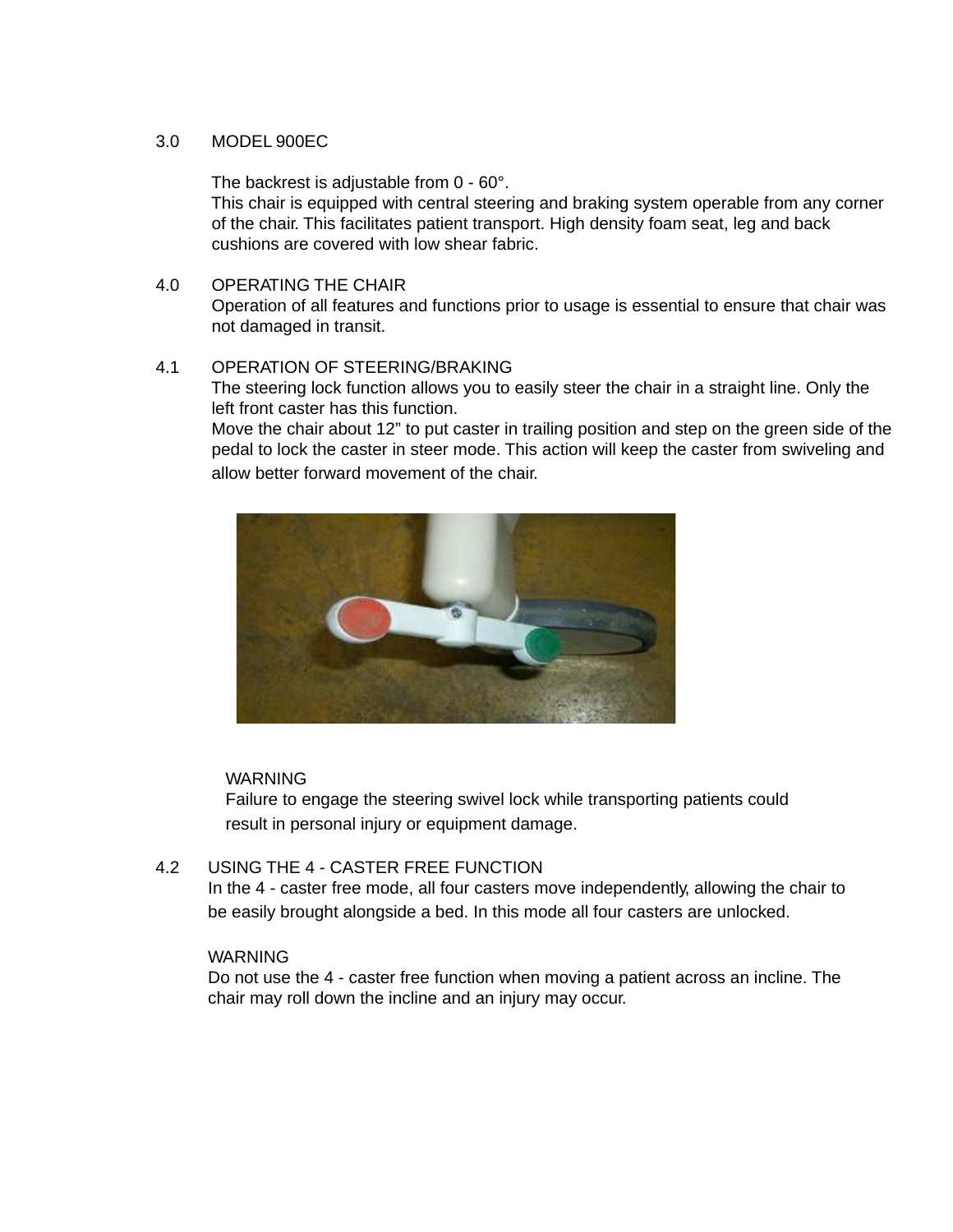#### 3.0 MODEL 900EC

The backrest is adjustable from 0 - 60°.

This chair is equipped with central steering and braking system operable from any corner of the chair. This facilitates patient transport. High density foam seat, leg and back cushions are covered with low shear fabric.

4.0 OPERATING THE CHAIR

Operation of all features and functions prior to usage is essential to ensure that chair was not damaged in transit.

#### 4.1 OPERATION OF STEERING/BRAKING

The steering lock function allows you to easily steer the chair in a straight line. Only the left front caster has this function.

Move the chair about 12" to put caster in trailing position and step on the green side of the pedal to lock the caster in steer mode. This action will keep the caster from swiveling and allow better forward movement of the chair.



#### **WARNING**

Failure to engage the steering swivel lock while transporting patients could result in personal injury or equipment damage.

#### 4.2 USING THE 4 - CASTER FREE FUNCTION

 In the 4 - caster free mode, all four casters move independently, allowing the chair to be easily brought alongside a bed. In this mode all four casters are unlocked.

#### WARNING

 Do not use the 4 - caster free function when moving a patient across an incline. The chair may roll down the incline and an injury may occur.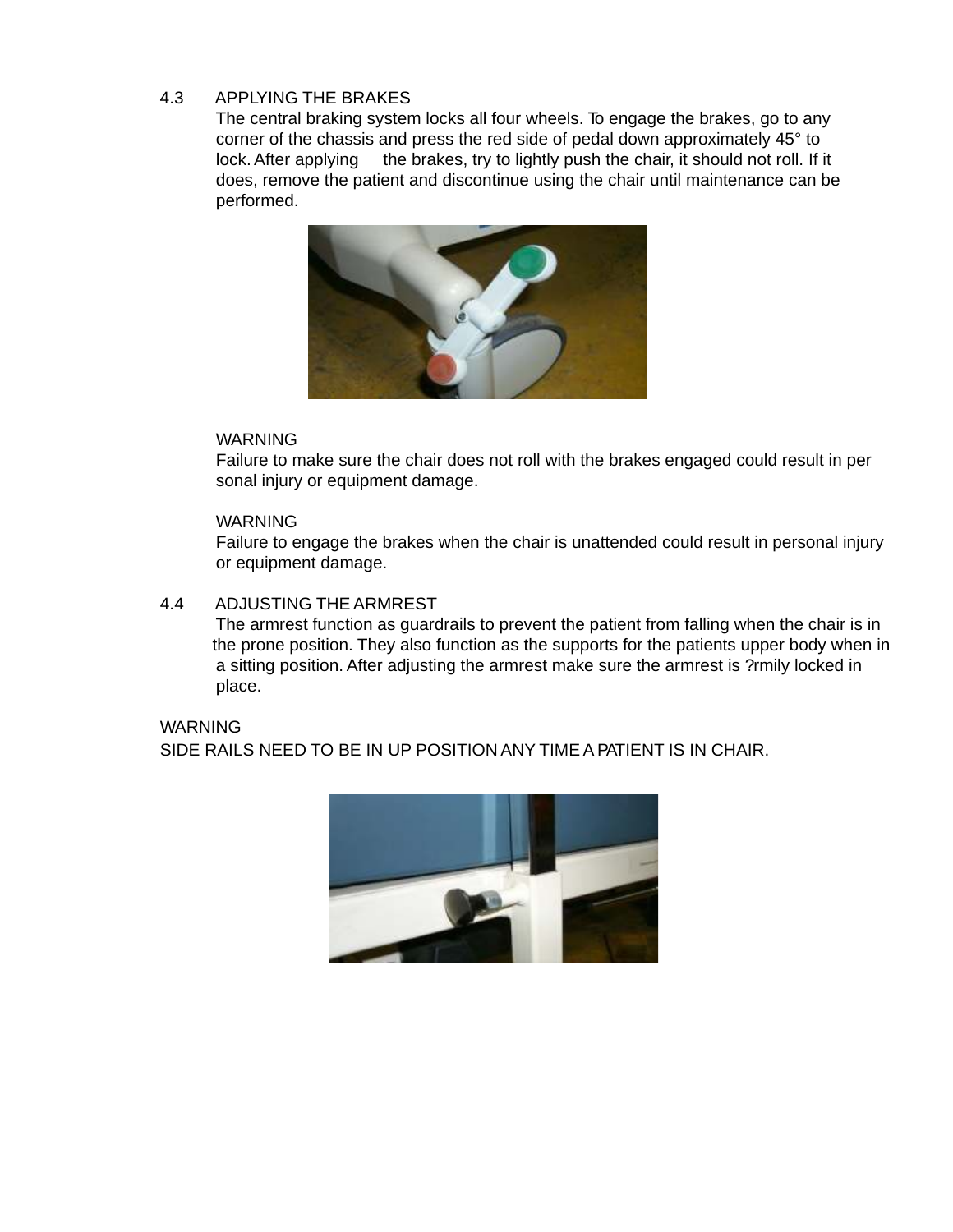#### 4.3 APPLYING THE BRAKES

The central braking system locks all four wheels. To engage the brakes, go to any corner of the chassis and press the red side of pedal down approximately 45° to lock. After applying the brakes, try to lightly push the chair, it should not roll. If it does, remove the patient and discontinue using the chair until maintenance can be performed.



#### WARNING

Failure to make sure the chair does not roll with the brakes engaged could result in per sonal injury or equipment damage.

#### **WARNING**

Failure to engage the brakes when the chair is unattended could result in personal injury or equipment damage.

#### 4.4 ADJUSTING THE ARMREST

The armrest function as guardrails to prevent the patient from falling when the chair is in the prone position. They also function as the supports for the patients upper body when in a sitting position. After adjusting the armrest make sure the armrest is ?rmily locked in place.

#### WARNING SIDE RAILS NEED TO BE IN UP POSITION ANY TIME A PATIENT IS IN CHAIR.

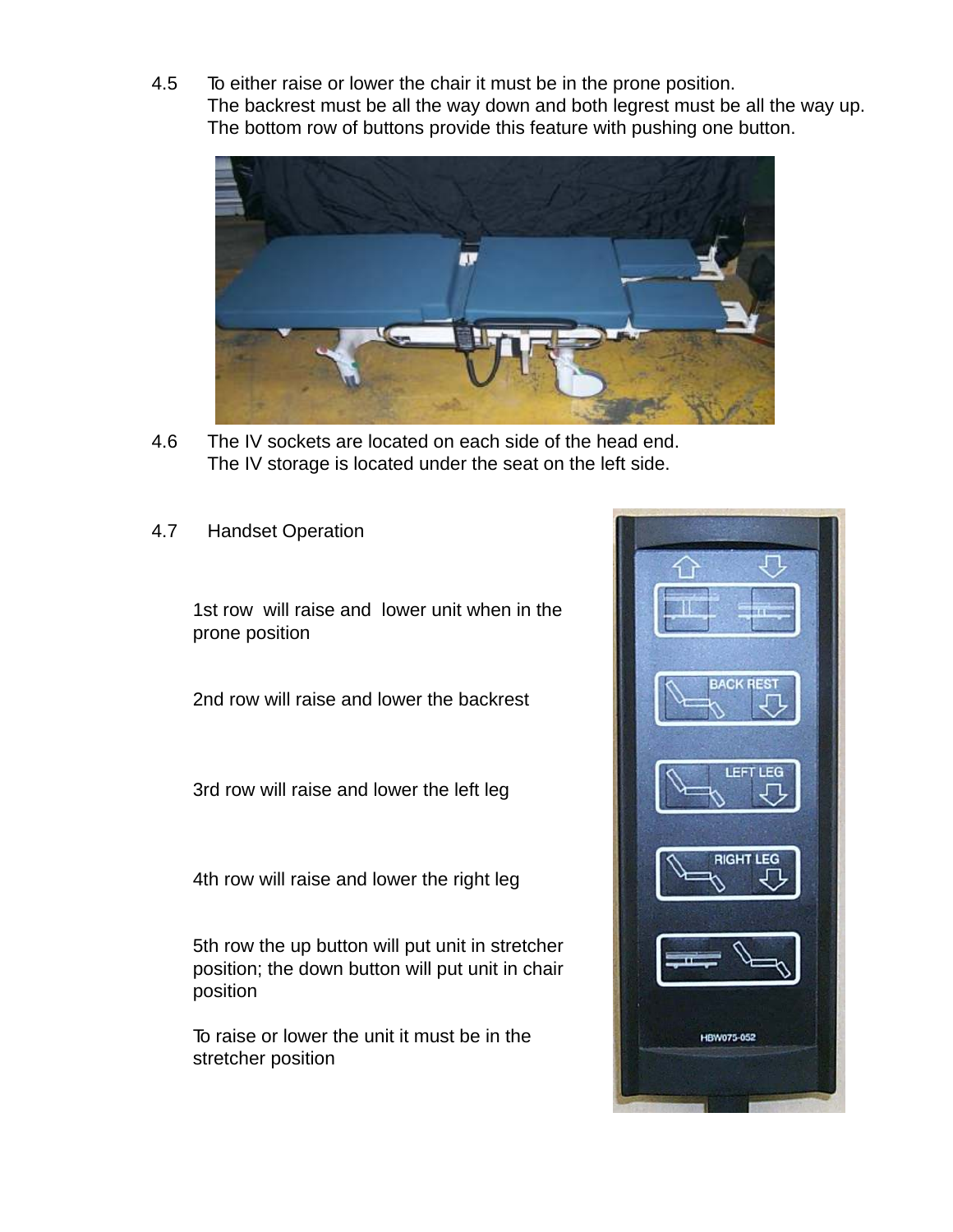4.5 To either raise or lower the chair it must be in the prone position. The backrest must be all the way down and both legrest must be all the way up. The bottom row of buttons provide this feature with pushing one button.



- 4.6 The IV sockets are located on each side of the head end. The IV storage is located under the seat on the left side.
- 4.7 Handset Operation

1st row will raise and lower unit when in the prone position

2nd row will raise and lower the backrest

3rd row will raise and lower the left leg

4th row will raise and lower the right leg

5th row the up button will put unit in stretcher position; the down button will put unit in chair position

To raise or lower the unit it must be in the stretcher position

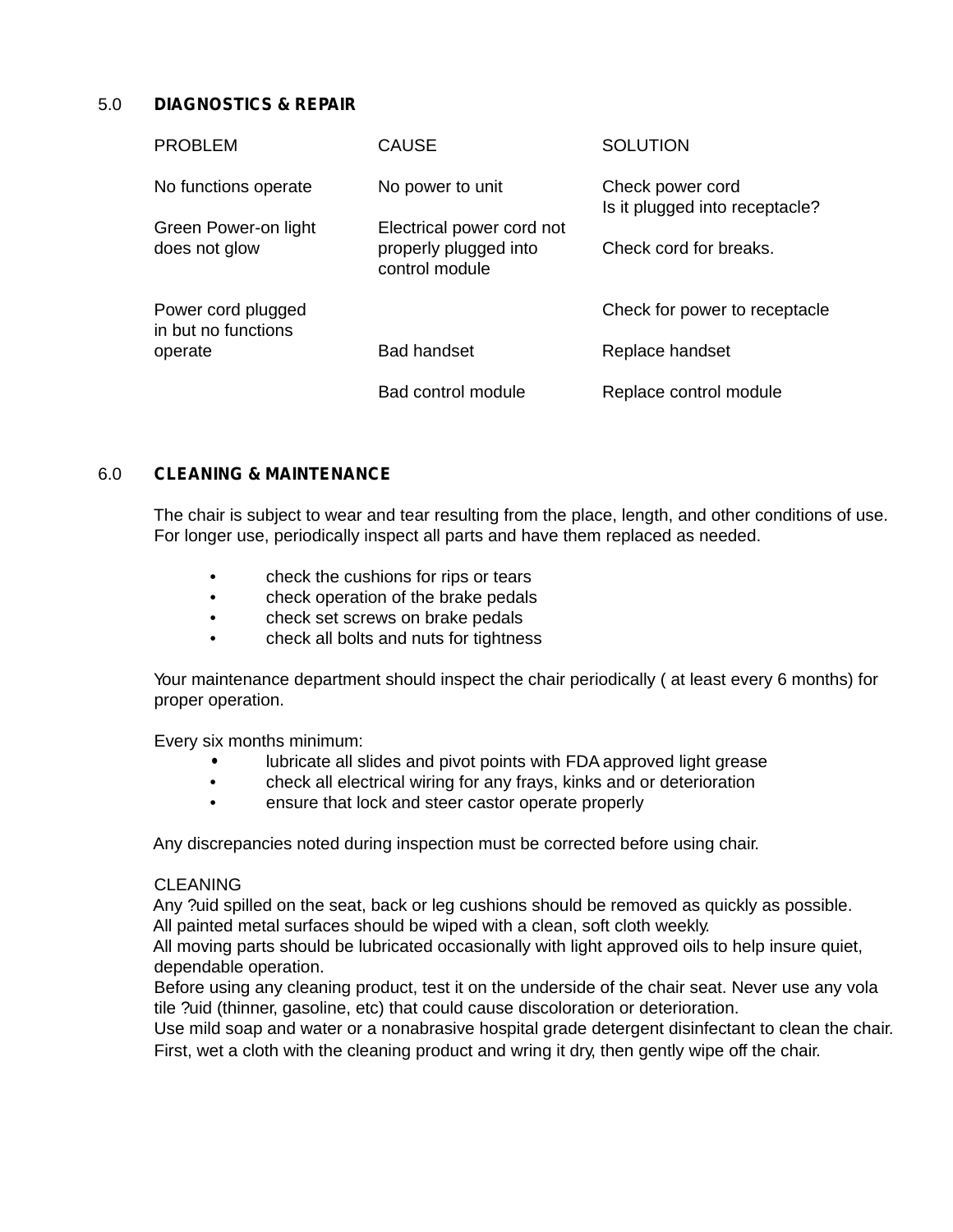#### 5.0 **DIAGNOSTICS & REPAIR**

| <b>PROBLEM</b>                                       | <b>CAUSE</b>                                                         | <b>SOLUTION</b>                                    |
|------------------------------------------------------|----------------------------------------------------------------------|----------------------------------------------------|
| No functions operate                                 | No power to unit                                                     | Check power cord<br>Is it plugged into receptacle? |
| Green Power-on light<br>does not glow                | Electrical power cord not<br>properly plugged into<br>control module | Check cord for breaks.                             |
| Power cord plugged<br>in but no functions<br>operate |                                                                      | Check for power to receptacle                      |
|                                                      | <b>Bad handset</b>                                                   | Replace handset                                    |
|                                                      | Bad control module                                                   | Replace control module                             |

#### 6.0 **CLEANING & MAINTENANCE**

The chair is subject to wear and tear resulting from the place, length, and other conditions of use. For longer use, periodically inspect all parts and have them replaced as needed.

- check the cushions for rips or tears
- check operation of the brake pedals
- check set screws on brake pedals
- check all bolts and nuts for tightness

Your maintenance department should inspect the chair periodically ( at least every 6 months) for proper operation.

Every six months minimum:

- lubricate all slides and pivot points with FDA approved light grease
- check all electrical wiring for any frays, kinks and or deterioration
- ensure that lock and steer castor operate properly

Any discrepancies noted during inspection must be corrected before using chair.

#### **CLEANING**

Any ?uid spilled on the seat, back or leg cushions should be removed as quickly as possible. All painted metal surfaces should be wiped with a clean, soft cloth weekly.

All moving parts should be lubricated occasionally with light approved oils to help insure quiet, dependable operation.

Before using any cleaning product, test it on the underside of the chair seat. Never use any vola tile ?uid (thinner, gasoline, etc) that could cause discoloration or deterioration.

Use mild soap and water or a nonabrasive hospital grade detergent disinfectant to clean the chair. First, wet a cloth with the cleaning product and wring it dry, then gently wipe off the chair.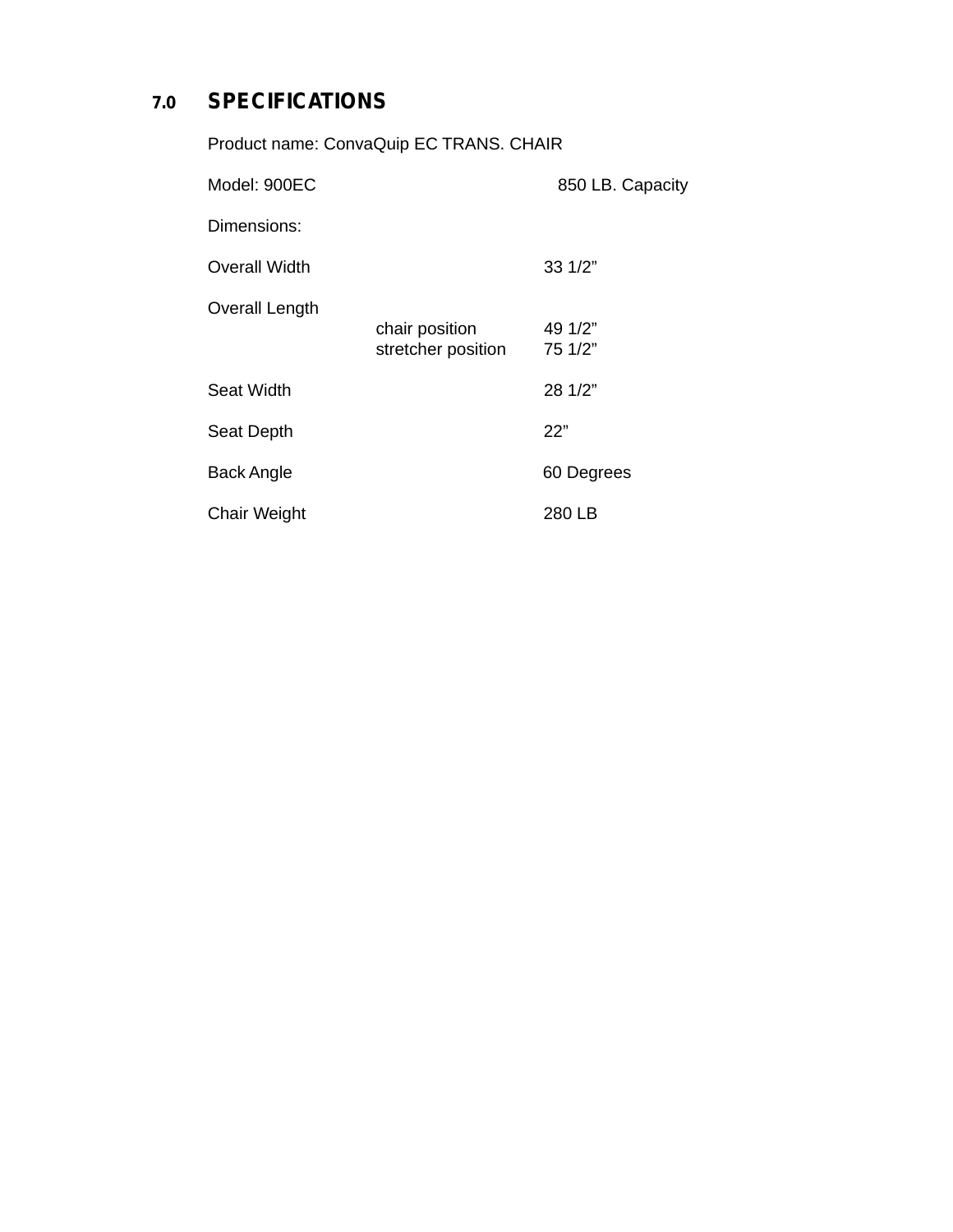## **7.0 SPECIFICATIONS**

| Product name: ConvaQuip EC TRANS. CHAIR |                                      |                    |  |
|-----------------------------------------|--------------------------------------|--------------------|--|
| Model: 900EC                            |                                      | 850 LB. Capacity   |  |
| Dimensions:                             |                                      |                    |  |
| <b>Overall Width</b>                    |                                      | $33 \frac{1}{2}$   |  |
| <b>Overall Length</b>                   | chair position<br>stretcher position | 49 1/2"<br>75 1/2" |  |
| Seat Width                              |                                      | 28 1/2"            |  |
| Seat Depth                              |                                      | 22"                |  |
| Back Angle                              |                                      | 60 Degrees         |  |
| <b>Chair Weight</b>                     |                                      | 280 LB             |  |